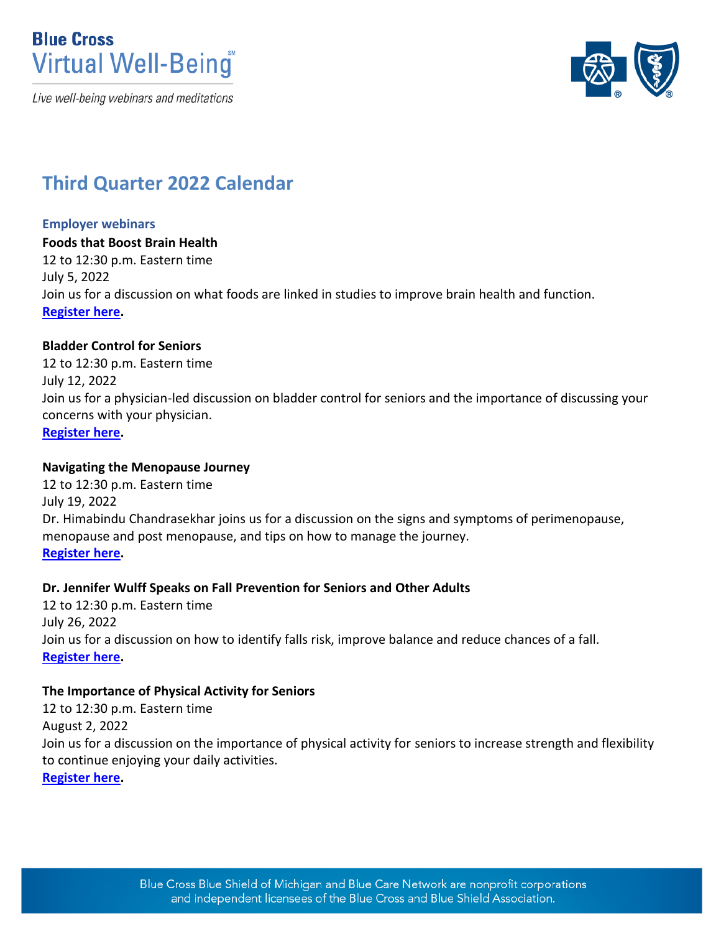



# **Third Quarter 2022 Calendar**

#### **Employer webinars**

**Foods that Boost Brain Health** 12 to 12:30 p.m. Eastern time July 5, 2022 Join us for a discussion on what foods are linked in studies to improve brain health and function. **[Register here.](https://attendee.gotowebinar.com/register/5258256452354119436)** 

## **Bladder Control for Seniors**

12 to 12:30 p.m. Eastern time July 12, 2022 Join us for a physician-led discussion on bladder control for seniors and the importance of discussing your concerns with your physician. **[Register here.](https://attendee.gotowebinar.com/register/3587413294018309900)** 

#### **Navigating the Menopause Journey**

12 to 12:30 p.m. Eastern time July 19, 2022 Dr. Himabindu Chandrasekhar joins us for a discussion on the signs and symptoms of perimenopause, menopause and post menopause, and tips on how to manage the journey. **[Register here.](https://attendee.gotowebinar.com/register/5959994460014781200)** 

## **Dr. Jennifer Wulff Speaks on Fall Prevention for Seniors and Other Adults**

12 to 12:30 p.m. Eastern time July 26, 2022 Join us for a discussion on how to identify falls risk, improve balance and reduce chances of a fall. **[Register here.](https://attendee.gotowebinar.com/register/417552057465739532)**

## **The Importance of Physical Activity for Seniors**

12 to 12:30 p.m. Eastern time August 2, 2022 Join us for a discussion on the importance of physical activity for seniors to increase strength and flexibility to continue enjoying your daily activities. **[Register here.](https://attendee.gotowebinar.com/register/7038110691025933840)**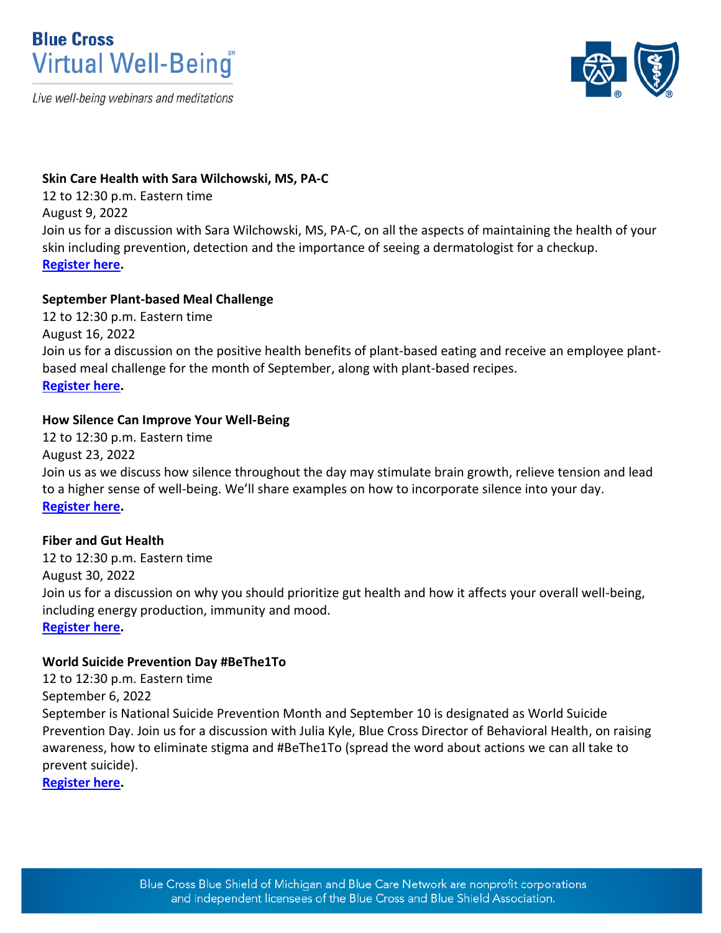



#### **Skin Care Health with Sara Wilchowski, MS, PA-C**

12 to 12:30 p.m. Eastern time August 9, 2022 Join us for a discussion with Sara Wilchowski, MS, PA-C, on all the aspects of maintaining the health of your skin including prevention, detection and the importance of seeing a dermatologist for a checkup. **[Register here.](https://attendee.gotowebinar.com/register/9084837292479812877)** 

## **September Plant-based Meal Challenge**

12 to 12:30 p.m. Eastern time August 16, 2022 Join us for a discussion on the positive health benefits of plant-based eating and receive an employee plantbased meal challenge for the month of September, along with plant-based recipes. **[Register here.](https://attendee.gotowebinar.com/register/6855409241884942352)** 

## **How Silence Can Improve Your Well-Being**

12 to 12:30 p.m. Eastern time August 23, 2022 Join us as we discuss how silence throughout the day may stimulate brain growth, relieve tension and lead to a higher sense of well-being. We'll share examples on how to incorporate silence into your day. **[Register here.](https://attendee.gotowebinar.com/register/288187917388195340)**

## **Fiber and Gut Health**

12 to 12:30 p.m. Eastern time August 30, 2022 Join us for a discussion on why you should prioritize gut health and how it affects your overall well-being, including energy production, immunity and mood. **[Register here.](https://attendee.gotowebinar.com/register/8087713286993998608)** 

## **World Suicide Prevention Day #BeThe1To**

12 to 12:30 p.m. Eastern time September 6, 2022 September is National Suicide Prevention Month and September 10 is designated as World Suicide Prevention Day. Join us for a discussion with Julia Kyle, Blue Cross Director of Behavioral Health, on raising awareness, how to eliminate stigma and #BeThe1To (spread the word about actions we can all take to prevent suicide).

**[Register here.](https://attendee.gotowebinar.com/register/3074151370567984908)**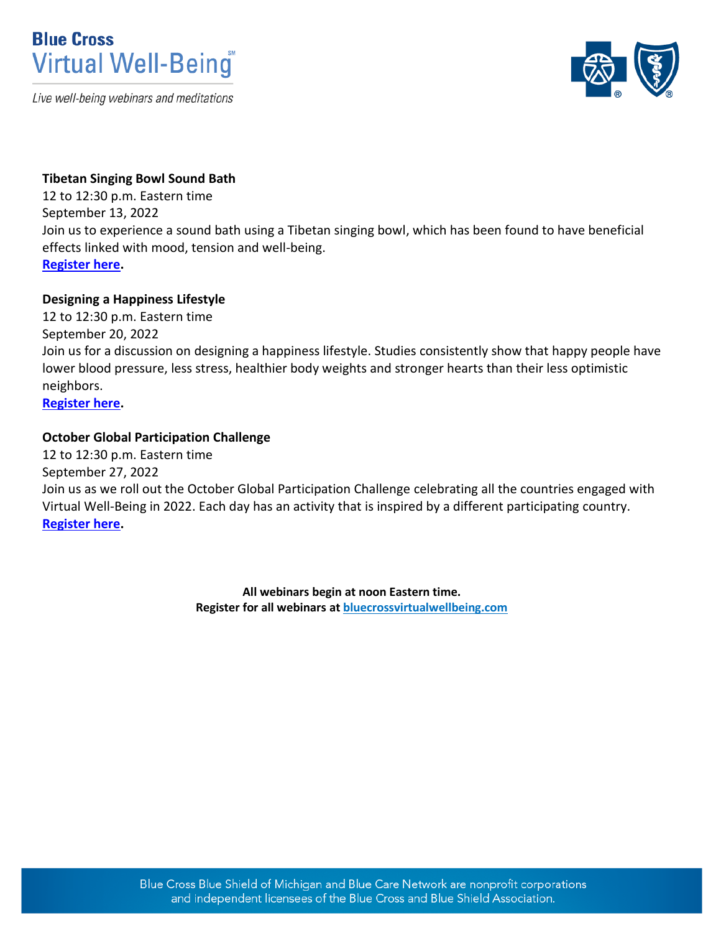



## **Tibetan Singing Bowl Sound Bath**

12 to 12:30 p.m. Eastern time September 13, 2022 Join us to experience a sound bath using a Tibetan singing bowl, which has been found to have beneficial effects linked with mood, tension and well-being. **[Register here.](https://attendee.gotowebinar.com/register/8946192174752228107)** 

## **Designing a Happiness Lifestyle**

12 to 12:30 p.m. Eastern time September 20, 2022 Join us for a discussion on designing a happiness lifestyle. Studies consistently show that happy people have lower blood pressure, less stress, healthier body weights and stronger hearts than their less optimistic neighbors. **[Register here.](https://attendee.gotowebinar.com/register/3029181344991977488)** 

## **October Global Participation Challenge**

12 to 12:30 p.m. Eastern time September 27, 2022 Join us as we roll out the October Global Participation Challenge celebrating all the countries engaged with Virtual Well-Being in 2022. Each day has an activity that is inspired by a different participating country. **[Register here.](https://attendee.gotowebinar.com/register/5552971748086701835)**

> **All webinars begin at noon Eastern time. Register for all webinars a[t bluecrossvirtualwellbeing.com](http://www.bluecrossvirtualwellbeing.com/)**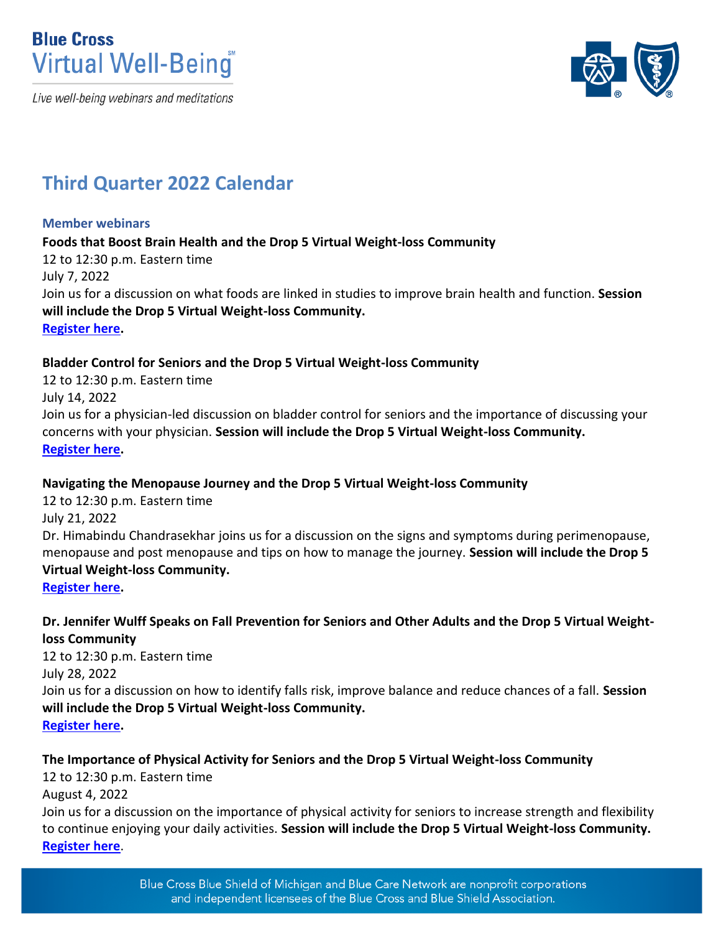



# **Third Quarter 2022 Calendar**

## **Member webinars**

**Foods that Boost Brain Health and the Drop 5 Virtual Weight-loss Community** 12 to 12:30 p.m. Eastern time July 7, 2022 Join us for a discussion on what foods are linked in studies to improve brain health and function. **Session will include the Drop 5 Virtual Weight-loss Community. [Register here.](https://attendee.gotowebinar.com/register/7491025918786101004)**

## **Bladder Control for Seniors and the Drop 5 Virtual Weight-loss Community**

12 to 12:30 p.m. Eastern time July 14, 2022 Join us for a physician-led discussion on bladder control for seniors and the importance of discussing your concerns with your physician. **Session will include the Drop 5 Virtual Weight-loss Community. [Register here.](https://attendee.gotowebinar.com/register/2171738197187211023)** 

## **Navigating the Menopause Journey and the Drop 5 Virtual Weight-loss Community**

12 to 12:30 p.m. Eastern time July 21, 2022 Dr. Himabindu Chandrasekhar joins us for a discussion on the signs and symptoms during perimenopause, menopause and post menopause and tips on how to manage the journey. **Session will include the Drop 5 Virtual Weight-loss Community.** 

**[Register here.](https://attendee.gotowebinar.com/register/4156828375811220748)**

## **Dr. Jennifer Wulff Speaks on Fall Prevention for Seniors and Other Adults and the Drop 5 Virtual Weightloss Community**

12 to 12:30 p.m. Eastern time July 28, 2022 Join us for a discussion on how to identify falls risk, improve balance and reduce chances of a fall. **Session will include the Drop 5 Virtual Weight-loss Community. [Register here.](https://attendee.gotowebinar.com/register/5608828038289435915)** 

## **The Importance of Physical Activity for Seniors and the Drop 5 Virtual Weight-loss Community**

12 to 12:30 p.m. Eastern time

August 4, 2022

Join us for a discussion on the importance of physical activity for seniors to increase strength and flexibility to continue enjoying your daily activities. **Session will include the Drop 5 Virtual Weight-loss Community. [Register here](https://attendee.gotowebinar.com/register/8944746316961833486)**.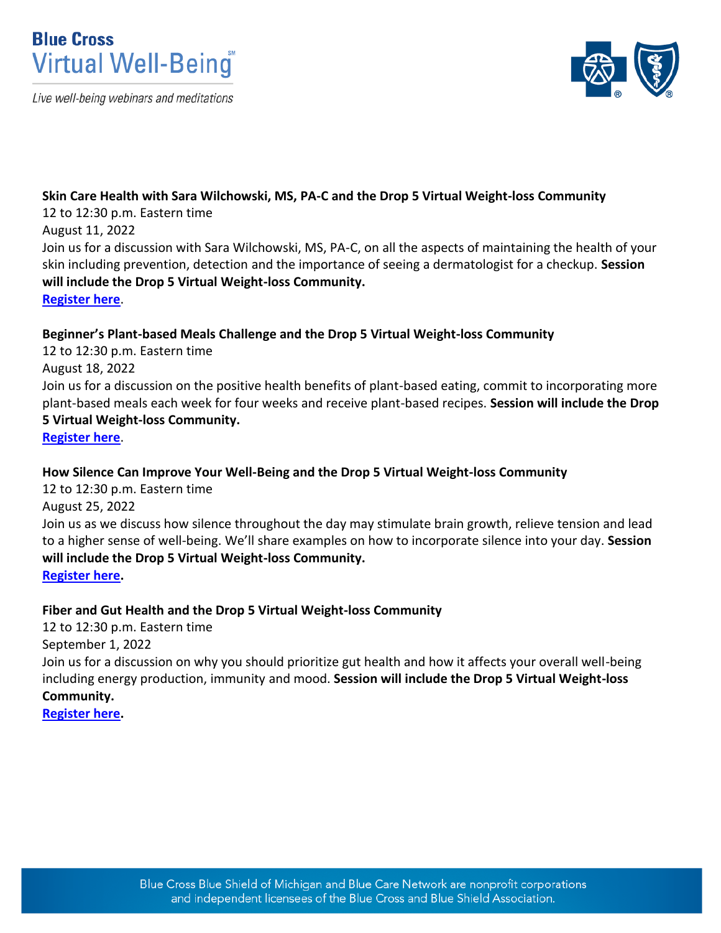



## **Skin Care Health with Sara Wilchowski, MS, PA-C and the Drop 5 Virtual Weight-loss Community**

12 to 12:30 p.m. Eastern time

## August 11, 2022

Join us for a discussion with Sara Wilchowski, MS, PA-C, on all the aspects of maintaining the health of your skin including prevention, detection and the importance of seeing a dermatologist for a checkup. **Session will include the Drop 5 Virtual Weight-loss Community.**

**[Register here](https://attendee.gotowebinar.com/register/6865800726279266063)**.

## **Beginner's Plant-based Meals Challenge and the Drop 5 Virtual Weight-loss Community**

12 to 12:30 p.m. Eastern time

August 18, 2022

Join us for a discussion on the positive health benefits of plant-based eating, commit to incorporating more plant-based meals each week for four weeks and receive plant-based recipes. **Session will include the Drop** 

## **5 Virtual Weight-loss Community.**

**[Register here](https://attendee.gotowebinar.com/register/1866157527549273357)**.

## **How Silence Can Improve Your Well-Being and the Drop 5 Virtual Weight-loss Community**

12 to 12:30 p.m. Eastern time

August 25, 2022

Join us as we discuss how silence throughout the day may stimulate brain growth, relieve tension and lead to a higher sense of well-being. We'll share examples on how to incorporate silence into your day. **Session will include the Drop 5 Virtual Weight-loss Community.**

**[Register here.](https://attendee.gotowebinar.com/register/1182863827444637707)** 

## **Fiber and Gut Health and the Drop 5 Virtual Weight-loss Community**

12 to 12:30 p.m. Eastern time September 1, 2022 Join us for a discussion on why you should prioritize gut health and how it affects your overall well-being including energy production, immunity and mood. **Session will include the Drop 5 Virtual Weight-loss Community.**

**[Register here.](https://attendee.gotowebinar.com/register/5323925883835082508)**